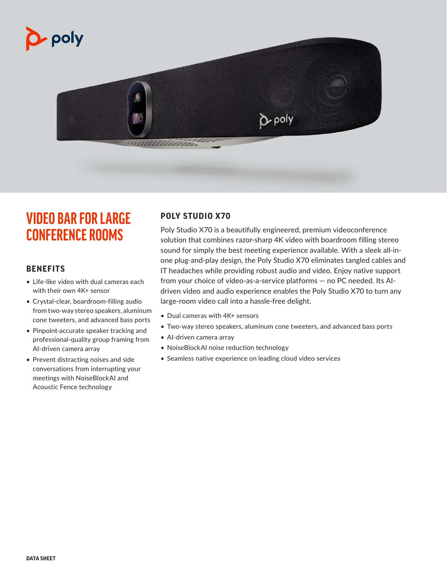



# **VIDEO BAR FOR LARGE CONFERENCE ROOMS**

# **BENEFITS**

- Life-like video with dual cameras each with their own 4K+ sensor
- Crystal-clear, boardroom-filling audio from two-way stereo speakers, aluminum cone tweeters, and advanced bass ports
- Pinpoint-accurate speaker tracking and professional-quality group framing from AI-driven camera array
- Prevent distracting noises and side conversations from interrupting your meetings with NoiseBlockAI and Acoustic Fence technology

# **POLY STUDIO X70**

Poly Studio X70 is a beautifully engineered, premium videoconference solution that combines razor-sharp 4K video with boardroom filling stereo sound for simply the best meeting experience available. With a sleek all-inone plug-and-play design, the Poly Studio X70 eliminates tangled cables and IT headaches while providing robust audio and video. Enjoy native support from your choice of video-as-a-service platforms — no PC needed. Its AIdriven video and audio experience enables the Poly Studio X70 to turn any large-room video call into a hassle-free delight.

- Dual cameras with 4K+ sensors
- Two-way stereo speakers, aluminum cone tweeters, and advanced bass ports
- AI-driven camera array
- NoiseBlockAI noise reduction technology
- Seamless native experience on leading cloud video services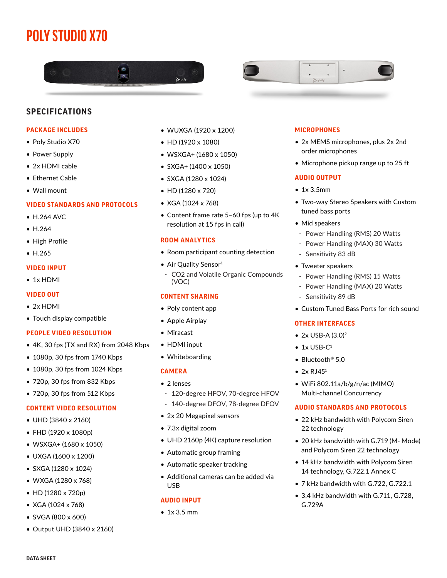# **POLY STUDIO X70**





# **SPECIFICATIONS**

## **PACKAGE INCLUDES**

- Poly Studio X70
- Power Supply
- 2x HDMI cable
- Ethernet Cable
- Wall mount

## **VIDEO STANDARDS AND PROTOCOLS**

- H.264 AVC
- H.264
- High Profile
- H.265

#### **VIDEO INPUT**

• 1x HDMI

## **VIDEO OUT**

- 2x HDMI
- Touch display compatible

#### **PEOPLE VIDEO RESOLUTION**

- 4K, 30 fps (TX and RX) from 2048 Kbps
- 1080p, 30 fps from 1740 Kbps
- 1080p, 30 fps from 1024 Kbps
- 720p, 30 fps from 832 Kbps
- 720p, 30 fps from 512 Kbps

## **CONTENT VIDEO RESOLUTION**

- UHD (3840 x 2160)
- FHD (1920 x 1080p)
- WSXGA+ (1680 x 1050)
- UXGA (1600 x 1200)
- SXGA (1280 x 1024)
- WXGA (1280 x 768)
- HD (1280 x 720p)
- XGA (1024 x 768)
- SVGA (800 x 600)
- Output UHD (3840 x 2160)
- WUXGA (1920 x 1200)
- HD (1920 x 1080)
- WSXGA+ (1680 x 1050)
- SXGA+ (1400 x 1050)
- SXGA (1280 x 1024)
- HD (1280 x 720)
- XGA (1024 x 768)
- Content frame rate 5–60 fps (up to 4K resolution at 15 fps in call)

#### **ROOM ANALYTICS**

- Room participant counting detection
- Air Quality Sensor<sup>1</sup>
- CO2 and Volatile Organic Compounds (VOC)

#### **CONTENT SHARING**

- Poly content app
- Apple Airplay
- Miracast
- HDMI input
- Whiteboarding

## **CAMERA**

- 2 lenses
- 120-degree HFOV, 70-degree HFOV
- 140-degree DFOV, 78-degree DFOV
- 2x 20 Megapixel sensors
- 7.3x digital zoom
- UHD 2160p (4K) capture resolution
- Automatic group framing
- Automatic speaker tracking
- Additional cameras can be added via USB

## **AUDIO INPUT**

• 1x 3.5 mm

## **MICROPHONES**

- 2x MEMS microphones, plus 2x 2nd order microphones
- Microphone pickup range up to 25 ft

#### **AUDIO OUTPUT**

- 1x 3.5mm
- Two-way Stereo Speakers with Custom tuned bass ports
- Mid speakers
- Power Handling (RMS) 20 Watts
- Power Handling (MAX) 30 Watts
- Sensitivity 83 dB
- Tweeter speakers
- Power Handling (RMS) 15 Watts
- Power Handling (MAX) 20 Watts
- Sensitivity 89 dB
- Custom Tuned Bass Ports for rich sound

#### **OTHER INTERFACES**

- $2x$  USB-A  $(3.0)^2$
- $\bullet$  1x USB-C<sup>3</sup>
- Bluetooth® 5.0
- $2x$  RJ45<sup>1</sup>
- WiFi 802.11a/b/g/n/ac (MIMO) Multi-channel Concurrency

## **AUDIO STANDARDS AND PROTOCOLS**

- 22 kHz bandwidth with Polycom Siren 22 technology
- 20 kHz bandwidth with G.719 (M- Mode) and Polycom Siren 22 technology
- 14 kHz bandwidth with Polycom Siren 14 technology, G.722.1 Annex C
- 7 kHz bandwidth with G.722, G.722.1
- 3.4 kHz bandwidth with G.711, G.728, G.729A